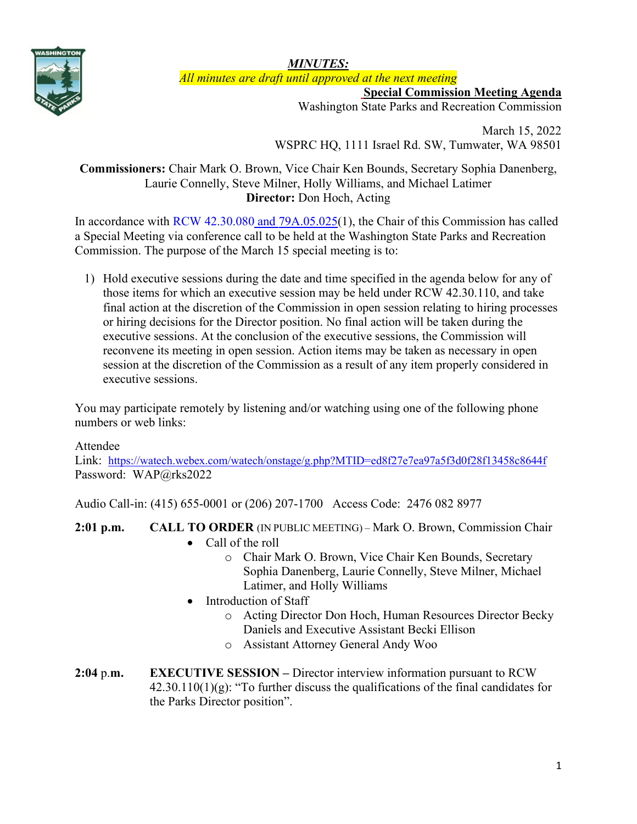

*MINUTES:*

*All minutes are draft until approved at the next meeting*

**Special Commission Meeting Agenda**

Washington State Parks and Recreation Commission

March 15, 2022 WSPRC HQ, 1111 Israel Rd. SW, Tumwater, WA 98501

# **Commissioners:** Chair Mark O. Brown, Vice Chair Ken Bounds, Secretary Sophia Danenberg, Laurie Connelly, Steve Milner, Holly Williams, and Michael Latimer **Director:** Don Hoch, Acting

In accordance with [RCW 42.30.080](https://gcc02.safelinks.protection.outlook.com/?url=http%3A%2F%2Fapp.leg.wa.gov%2FRCW%2Fdefault.aspx%3Fcite%3D42.30.080&data=04%7C01%7CBecki.Ellison%40parks.wa.gov%7C9d0a10a54cda45f96e1a08d8a37f32d5%7C11d0e217264e400a8ba057dcc127d72d%7C0%7C0%7C637439113993792876%7CUnknown%7CTWFpbGZsb3d8eyJWIjoiMC4wLjAwMDAiLCJQIjoiV2luMzIiLCJBTiI6Ik1haWwiLCJXVCI6Mn0%3D%7C1000&sdata=dvFG7wtQixDX%2BxAzXhZJkkn%2Bo1RvVDrbL8ymhX5GnQg%3D&reserved=0) and [79A.05.025\(](http://app.leg.wa.gov/RCW/default.aspx?cite=79A.05.025)1), the Chair of this Commission has called a Special Meeting via conference call to be held at the Washington State Parks and Recreation Commission. The purpose of the March 15 special meeting is to:

1) Hold executive sessions during the date and time specified in the agenda below for any of those items for which an executive session may be held under RCW 42.30.110, and take final action at the discretion of the Commission in open session relating to hiring processes or hiring decisions for the Director position. No final action will be taken during the executive sessions. At the conclusion of the executive sessions, the Commission will reconvene its meeting in open session. Action items may be taken as necessary in open session at the discretion of the Commission as a result of any item properly considered in executive sessions.

You may participate remotely by listening and/or watching using one of the following phone numbers or web links:

## Attendee

Link: <https://watech.webex.com/watech/onstage/g.php?MTID=ed8f27e7ea97a5f3d0f28f13458c8644f> Password: WAP@rks2022

Audio Call-in: (415) 655-0001 or (206) 207-1700 Access Code: 2476 082 8977

## **2:01 p.m. CALL TO ORDER** (IN PUBLIC MEETING) – Mark O. Brown, Commission Chair

- Call of the roll
	- o Chair Mark O. Brown, Vice Chair Ken Bounds, Secretary Sophia Danenberg, Laurie Connelly, Steve Milner, Michael Latimer, and Holly Williams
- Introduction of Staff
	- o Acting Director Don Hoch, Human Resources Director Becky Daniels and Executive Assistant Becki Ellison
	- o Assistant Attorney General Andy Woo
- **2:04** p.**m. EXECUTIVE SESSION –** Director interview information pursuant to RCW  $42.30.110(1)(g)$ : "To further discuss the qualifications of the final candidates for the Parks Director position".